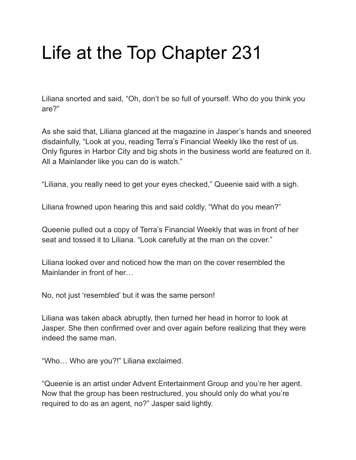# Life at the Top Chapter 231

Liliana snorted and said, "Oh, don't be so full of yourself. Who do you think you are?"

As she said that, Liliana glanced at the magazine in Jasper's hands and sneered disdainfully, "Look at you, reading Terra's Financial Weekly like the rest of us. Only figures in Harbor City and big shots in the business world are featured on it. All a Mainlander like you can do is watch."

"Liliana, you really need to get your eyes checked," Queenie said with a sigh.

Liliana frowned upon hearing this and said coldly, "What do you mean?"

Queenie pulled out a copy of Terra's Financial Weekly that was in front of her seat and tossed it to Liliana. "Look carefully at the man on the cover."

Liliana looked over and noticed how the man on the cover resembled the Mainlander in front of her…

No, not just 'resembled' but it was the same person!

Liliana was taken aback abruptly, then turned her head in horror to look at Jasper. She then confirmed over and over again before realizing that they were indeed the same man.

"Who… Who are you?!" Liliana exclaimed.

"Queenie is an artist under Advent Entertainment Group and you're her agent. Now that the group has been restructured, you should only do what you're required to do as an agent, no?" Jasper said lightly.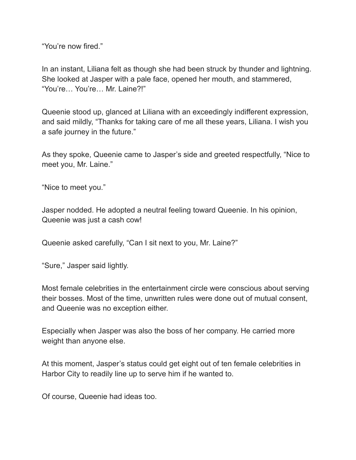"You're now fired."

In an instant, Liliana felt as though she had been struck by thunder and lightning. She looked at Jasper with a pale face, opened her mouth, and stammered, "You're… You're… Mr. Laine?!"

Queenie stood up, glanced at Liliana with an exceedingly indifferent expression, and said mildly, "Thanks for taking care of me all these years, Liliana. I wish you a safe journey in the future."

As they spoke, Queenie came to Jasper's side and greeted respectfully, "Nice to meet you, Mr. Laine."

"Nice to meet you."

Jasper nodded. He adopted a neutral feeling toward Queenie. In his opinion, Queenie was just a cash cow!

Queenie asked carefully, "Can I sit next to you, Mr. Laine?"

"Sure," Jasper said lightly.

Most female celebrities in the entertainment circle were conscious about serving their bosses. Most of the time, unwritten rules were done out of mutual consent, and Queenie was no exception either.

Especially when Jasper was also the boss of her company. He carried more weight than anyone else.

At this moment, Jasper's status could get eight out of ten female celebrities in Harbor City to readily line up to serve him if he wanted to.

Of course, Queenie had ideas too.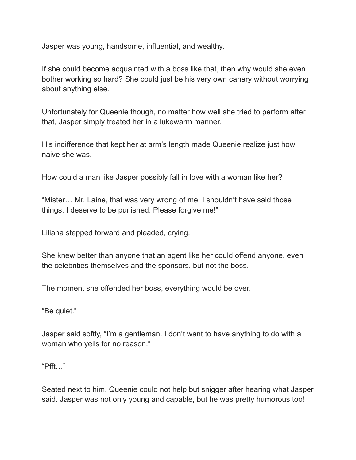Jasper was young, handsome, influential, and wealthy.

If she could become acquainted with a boss like that, then why would she even bother working so hard? She could just be his very own canary without worrying about anything else.

Unfortunately for Queenie though, no matter how well she tried to perform after that, Jasper simply treated her in a lukewarm manner.

His indifference that kept her at arm's length made Queenie realize just how naive she was.

How could a man like Jasper possibly fall in love with a woman like her?

"Mister… Mr. Laine, that was very wrong of me. I shouldn't have said those things. I deserve to be punished. Please forgive me!"

Liliana stepped forward and pleaded, crying.

She knew better than anyone that an agent like her could offend anyone, even the celebrities themselves and the sponsors, but not the boss.

The moment she offended her boss, everything would be over.

"Be quiet."

Jasper said softly, "I'm a gentleman. I don't want to have anything to do with a woman who yells for no reason."

"Pfft…"

Seated next to him, Queenie could not help but snigger after hearing what Jasper said. Jasper was not only young and capable, but he was pretty humorous too!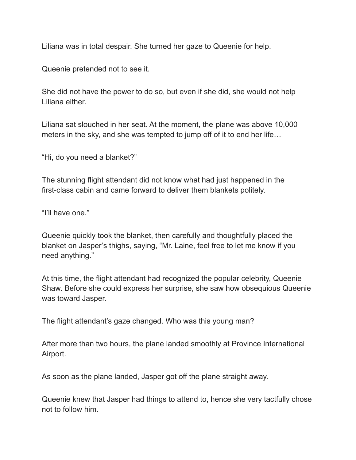Liliana was in total despair. She turned her gaze to Queenie for help.

Queenie pretended not to see it.

She did not have the power to do so, but even if she did, she would not help Liliana either.

Liliana sat slouched in her seat. At the moment, the plane was above 10,000 meters in the sky, and she was tempted to jump off of it to end her life…

"Hi, do you need a blanket?"

The stunning flight attendant did not know what had just happened in the first-class cabin and came forward to deliver them blankets politely.

"I'll have one."

Queenie quickly took the blanket, then carefully and thoughtfully placed the blanket on Jasper's thighs, saying, "Mr. Laine, feel free to let me know if you need anything."

At this time, the flight attendant had recognized the popular celebrity, Queenie Shaw. Before she could express her surprise, she saw how obsequious Queenie was toward Jasper.

The flight attendant's gaze changed. Who was this young man?

After more than two hours, the plane landed smoothly at Province International Airport.

As soon as the plane landed, Jasper got off the plane straight away.

Queenie knew that Jasper had things to attend to, hence she very tactfully chose not to follow him.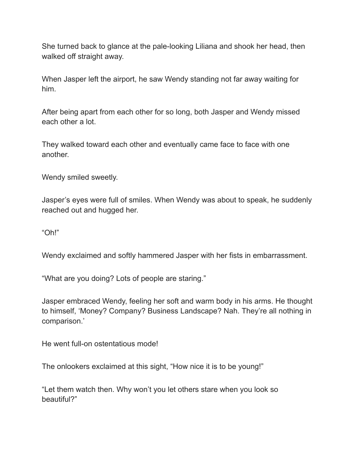She turned back to glance at the pale-looking Liliana and shook her head, then walked off straight away.

When Jasper left the airport, he saw Wendy standing not far away waiting for him.

After being apart from each other for so long, both Jasper and Wendy missed each other a lot.

They walked toward each other and eventually came face to face with one another.

Wendy smiled sweetly.

Jasper's eyes were full of smiles. When Wendy was about to speak, he suddenly reached out and hugged her.

"Oh!"

Wendy exclaimed and softly hammered Jasper with her fists in embarrassment.

"What are you doing? Lots of people are staring."

Jasper embraced Wendy, feeling her soft and warm body in his arms. He thought to himself, 'Money? Company? Business Landscape? Nah. They're all nothing in comparison.'

He went full-on ostentatious mode!

The onlookers exclaimed at this sight, "How nice it is to be young!"

"Let them watch then. Why won't you let others stare when you look so beautiful?"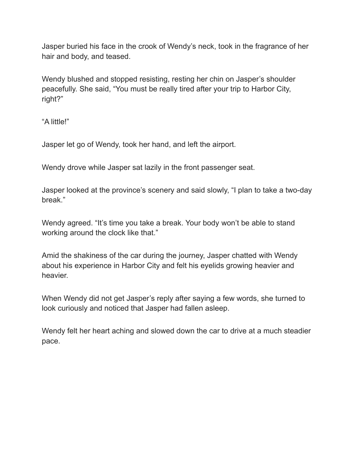Jasper buried his face in the crook of Wendy's neck, took in the fragrance of her hair and body, and teased.

Wendy blushed and stopped resisting, resting her chin on Jasper's shoulder peacefully. She said, "You must be really tired after your trip to Harbor City, right?"

"A little!"

Jasper let go of Wendy, took her hand, and left the airport.

Wendy drove while Jasper sat lazily in the front passenger seat.

Jasper looked at the province's scenery and said slowly, "I plan to take a two-day break."

Wendy agreed. "It's time you take a break. Your body won't be able to stand working around the clock like that."

Amid the shakiness of the car during the journey, Jasper chatted with Wendy about his experience in Harbor City and felt his eyelids growing heavier and heavier.

When Wendy did not get Jasper's reply after saying a few words, she turned to look curiously and noticed that Jasper had fallen asleep.

Wendy felt her heart aching and slowed down the car to drive at a much steadier pace.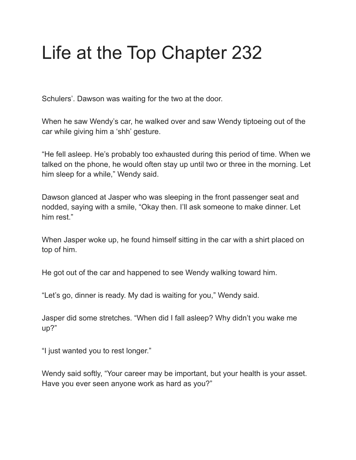### Life at the Top Chapter 232

Schulers'. Dawson was waiting for the two at the door.

When he saw Wendy's car, he walked over and saw Wendy tiptoeing out of the car while giving him a 'shh' gesture.

"He fell asleep. He's probably too exhausted during this period of time. When we talked on the phone, he would often stay up until two or three in the morning. Let him sleep for a while," Wendy said.

Dawson glanced at Jasper who was sleeping in the front passenger seat and nodded, saying with a smile, "Okay then. I'll ask someone to make dinner. Let him rest."

When Jasper woke up, he found himself sitting in the car with a shirt placed on top of him.

He got out of the car and happened to see Wendy walking toward him.

"Let's go, dinner is ready. My dad is waiting for you," Wendy said.

Jasper did some stretches. "When did I fall asleep? Why didn't you wake me up?"

"I just wanted you to rest longer."

Wendy said softly, "Your career may be important, but your health is your asset. Have you ever seen anyone work as hard as you?"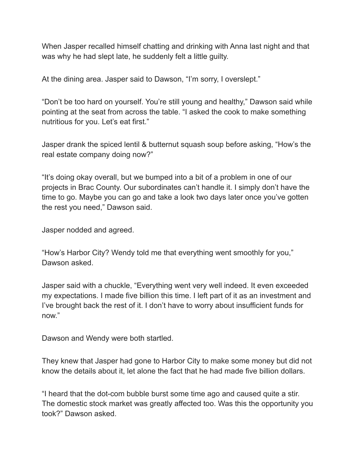When Jasper recalled himself chatting and drinking with Anna last night and that was why he had slept late, he suddenly felt a little guilty.

At the dining area. Jasper said to Dawson, "I'm sorry, I overslept."

"Don't be too hard on yourself. You're still young and healthy," Dawson said while pointing at the seat from across the table. "I asked the cook to make something nutritious for you. Let's eat first."

Jasper drank the spiced lentil & butternut squash soup before asking, "How's the real estate company doing now?"

"It's doing okay overall, but we bumped into a bit of a problem in one of our projects in Brac County. Our subordinates can't handle it. I simply don't have the time to go. Maybe you can go and take a look two days later once you've gotten the rest you need," Dawson said.

Jasper nodded and agreed.

"How's Harbor City? Wendy told me that everything went smoothly for you," Dawson asked.

Jasper said with a chuckle, "Everything went very well indeed. It even exceeded my expectations. I made five billion this time. I left part of it as an investment and I've brought back the rest of it. I don't have to worry about insufficient funds for now."

Dawson and Wendy were both startled.

They knew that Jasper had gone to Harbor City to make some money but did not know the details about it, let alone the fact that he had made five billion dollars.

"I heard that the dot-com bubble burst some time ago and caused quite a stir. The domestic stock market was greatly affected too. Was this the opportunity you took?" Dawson asked.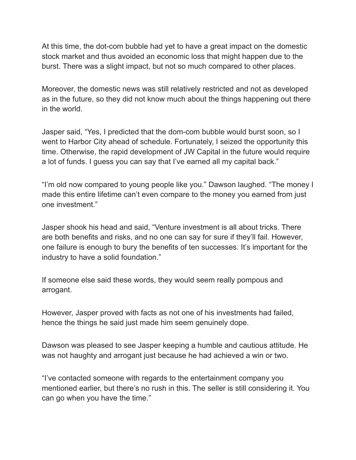At this time, the dot-com bubble had yet to have a great impact on the domestic stock market and thus avoided an economic loss that might happen due to the burst. There was a slight impact, but not so much compared to other places.

Moreover, the domestic news was still relatively restricted and not as developed as in the future, so they did not know much about the things happening out there in the world.

Jasper said, "Yes, I predicted that the dom-com bubble would burst soon, so I went to Harbor City ahead of schedule. Fortunately, I seized the opportunity this time. Otherwise, the rapid development of JW Capital in the future would require a lot of funds. I guess you can say that I've earned all my capital back."

"I'm old now compared to young people like you." Dawson laughed. "The money I made this entire lifetime can't even compare to the money you earned from just one investment."

Jasper shook his head and said, "Venture investment is all about tricks. There are both benefits and risks, and no one can say for sure if they'll fail. However, one failure is enough to bury the benefits of ten successes. It's important for the industry to have a solid foundation."

If someone else said these words, they would seem really pompous and arrogant.

However, Jasper proved with facts as not one of his investments had failed, hence the things he said just made him seem genuinely dope.

Dawson was pleased to see Jasper keeping a humble and cautious attitude. He was not haughty and arrogant just because he had achieved a win or two.

"I've contacted someone with regards to the entertainment company you mentioned earlier, but there's no rush in this. The seller is still considering it. You can go when you have the time."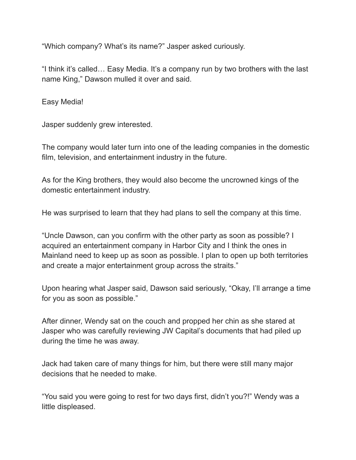"Which company? What's its name?" Jasper asked curiously.

"I think it's called… Easy Media. It's a company run by two brothers with the last name King," Dawson mulled it over and said.

Easy Media!

Jasper suddenly grew interested.

The company would later turn into one of the leading companies in the domestic film, television, and entertainment industry in the future.

As for the King brothers, they would also become the uncrowned kings of the domestic entertainment industry.

He was surprised to learn that they had plans to sell the company at this time.

"Uncle Dawson, can you confirm with the other party as soon as possible? I acquired an entertainment company in Harbor City and I think the ones in Mainland need to keep up as soon as possible. I plan to open up both territories and create a major entertainment group across the straits."

Upon hearing what Jasper said, Dawson said seriously, "Okay, I'll arrange a time for you as soon as possible."

After dinner, Wendy sat on the couch and propped her chin as she stared at Jasper who was carefully reviewing JW Capital's documents that had piled up during the time he was away.

Jack had taken care of many things for him, but there were still many major decisions that he needed to make.

"You said you were going to rest for two days first, didn't you?!" Wendy was a little displeased.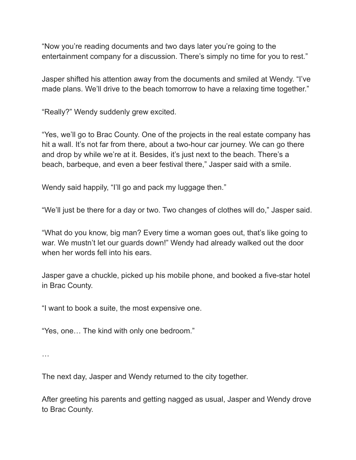"Now you're reading documents and two days later you're going to the entertainment company for a discussion. There's simply no time for you to rest."

Jasper shifted his attention away from the documents and smiled at Wendy. "I've made plans. We'll drive to the beach tomorrow to have a relaxing time together."

"Really?" Wendy suddenly grew excited.

"Yes, we'll go to Brac County. One of the projects in the real estate company has hit a wall. It's not far from there, about a two-hour car journey. We can go there and drop by while we're at it. Besides, it's just next to the beach. There's a beach, barbeque, and even a beer festival there," Jasper said with a smile.

Wendy said happily, "I'll go and pack my luggage then."

"We'll just be there for a day or two. Two changes of clothes will do," Jasper said.

"What do you know, big man? Every time a woman goes out, that's like going to war. We mustn't let our guards down!" Wendy had already walked out the door when her words fell into his ears.

Jasper gave a chuckle, picked up his mobile phone, and booked a five-star hotel in Brac County.

"I want to book a suite, the most expensive one.

"Yes, one… The kind with only one bedroom."

…

The next day, Jasper and Wendy returned to the city together.

After greeting his parents and getting nagged as usual, Jasper and Wendy drove to Brac County.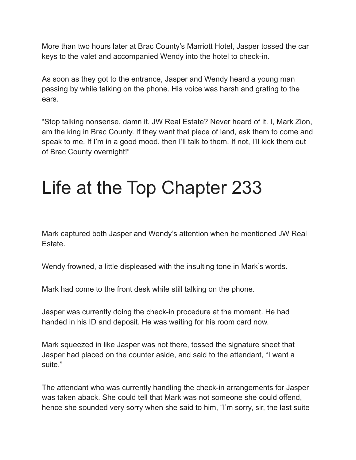More than two hours later at Brac County's Marriott Hotel, Jasper tossed the car keys to the valet and accompanied Wendy into the hotel to check-in.

As soon as they got to the entrance, Jasper and Wendy heard a young man passing by while talking on the phone. His voice was harsh and grating to the ears.

"Stop talking nonsense, damn it. JW Real Estate? Never heard of it. I, Mark Zion, am the king in Brac County. If they want that piece of land, ask them to come and speak to me. If I'm in a good mood, then I'll talk to them. If not, I'll kick them out of Brac County overnight!"

### Life at the Top Chapter 233

Mark captured both Jasper and Wendy's attention when he mentioned JW Real Estate.

Wendy frowned, a little displeased with the insulting tone in Mark's words.

Mark had come to the front desk while still talking on the phone.

Jasper was currently doing the check-in procedure at the moment. He had handed in his ID and deposit. He was waiting for his room card now.

Mark squeezed in like Jasper was not there, tossed the signature sheet that Jasper had placed on the counter aside, and said to the attendant, "I want a suite."

The attendant who was currently handling the check-in arrangements for Jasper was taken aback. She could tell that Mark was not someone she could offend, hence she sounded very sorry when she said to him, "I'm sorry, sir, the last suite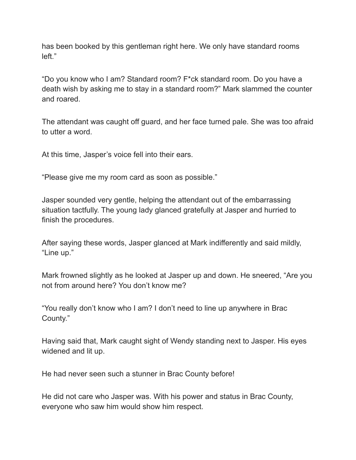has been booked by this gentleman right here. We only have standard rooms left."

"Do you know who I am? Standard room? F\*ck standard room. Do you have a death wish by asking me to stay in a standard room?" Mark slammed the counter and roared.

The attendant was caught off guard, and her face turned pale. She was too afraid to utter a word.

At this time, Jasper's voice fell into their ears.

"Please give me my room card as soon as possible."

Jasper sounded very gentle, helping the attendant out of the embarrassing situation tactfully. The young lady glanced gratefully at Jasper and hurried to finish the procedures.

After saying these words, Jasper glanced at Mark indifferently and said mildly, "Line up."

Mark frowned slightly as he looked at Jasper up and down. He sneered, "Are you not from around here? You don't know me?

"You really don't know who I am? I don't need to line up anywhere in Brac County."

Having said that, Mark caught sight of Wendy standing next to Jasper. His eyes widened and lit up.

He had never seen such a stunner in Brac County before!

He did not care who Jasper was. With his power and status in Brac County, everyone who saw him would show him respect.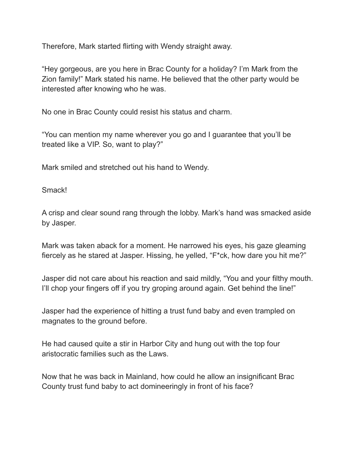Therefore, Mark started flirting with Wendy straight away.

"Hey gorgeous, are you here in Brac County for a holiday? I'm Mark from the Zion family!" Mark stated his name. He believed that the other party would be interested after knowing who he was.

No one in Brac County could resist his status and charm.

"You can mention my name wherever you go and I guarantee that you'll be treated like a VIP. So, want to play?"

Mark smiled and stretched out his hand to Wendy.

Smack!

A crisp and clear sound rang through the lobby. Mark's hand was smacked aside by Jasper.

Mark was taken aback for a moment. He narrowed his eyes, his gaze gleaming fiercely as he stared at Jasper. Hissing, he yelled, "F\*ck, how dare you hit me?"

Jasper did not care about his reaction and said mildly, "You and your filthy mouth. I'll chop your fingers off if you try groping around again. Get behind the line!"

Jasper had the experience of hitting a trust fund baby and even trampled on magnates to the ground before.

He had caused quite a stir in Harbor City and hung out with the top four aristocratic families such as the Laws.

Now that he was back in Mainland, how could he allow an insignificant Brac County trust fund baby to act domineeringly in front of his face?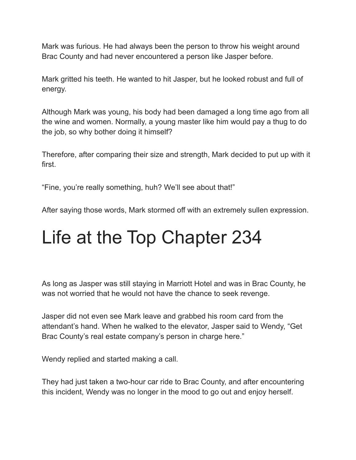Mark was furious. He had always been the person to throw his weight around Brac County and had never encountered a person like Jasper before.

Mark gritted his teeth. He wanted to hit Jasper, but he looked robust and full of energy.

Although Mark was young, his body had been damaged a long time ago from all the wine and women. Normally, a young master like him would pay a thug to do the job, so why bother doing it himself?

Therefore, after comparing their size and strength, Mark decided to put up with it first.

"Fine, you're really something, huh? We'll see about that!"

After saying those words, Mark stormed off with an extremely sullen expression.

#### Life at the Top Chapter 234

As long as Jasper was still staying in Marriott Hotel and was in Brac County, he was not worried that he would not have the chance to seek revenge.

Jasper did not even see Mark leave and grabbed his room card from the attendant's hand. When he walked to the elevator, Jasper said to Wendy, "Get Brac County's real estate company's person in charge here."

Wendy replied and started making a call.

They had just taken a two-hour car ride to Brac County, and after encountering this incident, Wendy was no longer in the mood to go out and enjoy herself.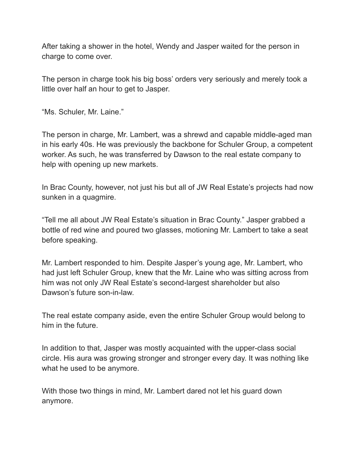After taking a shower in the hotel, Wendy and Jasper waited for the person in charge to come over.

The person in charge took his big boss' orders very seriously and merely took a little over half an hour to get to Jasper.

"Ms. Schuler, Mr. Laine."

The person in charge, Mr. Lambert, was a shrewd and capable middle-aged man in his early 40s. He was previously the backbone for Schuler Group, a competent worker. As such, he was transferred by Dawson to the real estate company to help with opening up new markets.

In Brac County, however, not just his but all of JW Real Estate's projects had now sunken in a quagmire.

"Tell me all about JW Real Estate's situation in Brac County." Jasper grabbed a bottle of red wine and poured two glasses, motioning Mr. Lambert to take a seat before speaking.

Mr. Lambert responded to him. Despite Jasper's young age, Mr. Lambert, who had just left Schuler Group, knew that the Mr. Laine who was sitting across from him was not only JW Real Estate's second-largest shareholder but also Dawson's future son-in-law.

The real estate company aside, even the entire Schuler Group would belong to him in the future.

In addition to that, Jasper was mostly acquainted with the upper-class social circle. His aura was growing stronger and stronger every day. It was nothing like what he used to be anymore.

With those two things in mind, Mr. Lambert dared not let his guard down anymore.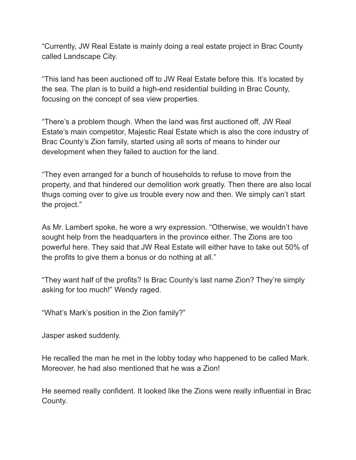"Currently, JW Real Estate is mainly doing a real estate project in Brac County called Landscape City.

"This land has been auctioned off to JW Real Estate before this. It's located by the sea. The plan is to build a high-end residential building in Brac County, focusing on the concept of sea view properties.

"There's a problem though. When the land was first auctioned off, JW Real Estate's main competitor, Majestic Real Estate which is also the core industry of Brac County's Zion family, started using all sorts of means to hinder our development when they failed to auction for the land.

"They even arranged for a bunch of households to refuse to move from the property, and that hindered our demolition work greatly. Then there are also local thugs coming over to give us trouble every now and then. We simply can't start the project."

As Mr. Lambert spoke, he wore a wry expression. "Otherwise, we wouldn't have sought help from the headquarters in the province either. The Zions are too powerful here. They said that JW Real Estate will either have to take out 50% of the profits to give them a bonus or do nothing at all."

"They want half of the profits? Is Brac County's last name Zion? They're simply asking for too much!" Wendy raged.

"What's Mark's position in the Zion family?"

Jasper asked suddenly.

He recalled the man he met in the lobby today who happened to be called Mark. Moreover, he had also mentioned that he was a Zion!

He seemed really confident. It looked like the Zions were really influential in Brac County.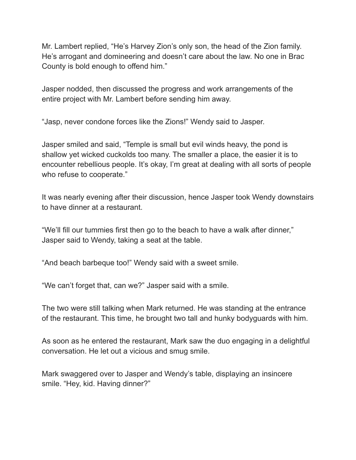Mr. Lambert replied, "He's Harvey Zion's only son, the head of the Zion family. He's arrogant and domineering and doesn't care about the law. No one in Brac County is bold enough to offend him."

Jasper nodded, then discussed the progress and work arrangements of the entire project with Mr. Lambert before sending him away.

"Jasp, never condone forces like the Zions!" Wendy said to Jasper.

Jasper smiled and said, "Temple is small but evil winds heavy, the pond is shallow yet wicked cuckolds too many. The smaller a place, the easier it is to encounter rebellious people. It's okay, I'm great at dealing with all sorts of people who refuse to cooperate."

It was nearly evening after their discussion, hence Jasper took Wendy downstairs to have dinner at a restaurant.

"We'll fill our tummies first then go to the beach to have a walk after dinner," Jasper said to Wendy, taking a seat at the table.

"And beach barbeque too!" Wendy said with a sweet smile.

"We can't forget that, can we?" Jasper said with a smile.

The two were still talking when Mark returned. He was standing at the entrance of the restaurant. This time, he brought two tall and hunky bodyguards with him.

As soon as he entered the restaurant, Mark saw the duo engaging in a delightful conversation. He let out a vicious and smug smile.

Mark swaggered over to Jasper and Wendy's table, displaying an insincere smile. "Hey, kid. Having dinner?"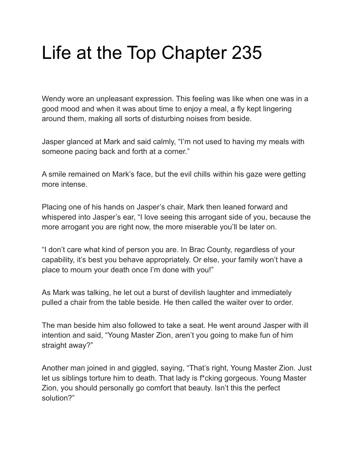# Life at the Top Chapter 235

Wendy wore an unpleasant expression. This feeling was like when one was in a good mood and when it was about time to enjoy a meal, a fly kept lingering around them, making all sorts of disturbing noises from beside.

Jasper glanced at Mark and said calmly, "I'm not used to having my meals with someone pacing back and forth at a corner."

A smile remained on Mark's face, but the evil chills within his gaze were getting more intense.

Placing one of his hands on Jasper's chair, Mark then leaned forward and whispered into Jasper's ear, "I love seeing this arrogant side of you, because the more arrogant you are right now, the more miserable you'll be later on.

"I don't care what kind of person you are. In Brac County, regardless of your capability, it's best you behave appropriately. Or else, your family won't have a place to mourn your death once I'm done with you!"

As Mark was talking, he let out a burst of devilish laughter and immediately pulled a chair from the table beside. He then called the waiter over to order.

The man beside him also followed to take a seat. He went around Jasper with ill intention and said, "Young Master Zion, aren't you going to make fun of him straight away?"

Another man joined in and giggled, saying, "That's right, Young Master Zion. Just let us siblings torture him to death. That lady is f\*cking gorgeous. Young Master Zion, you should personally go comfort that beauty. Isn't this the perfect solution?"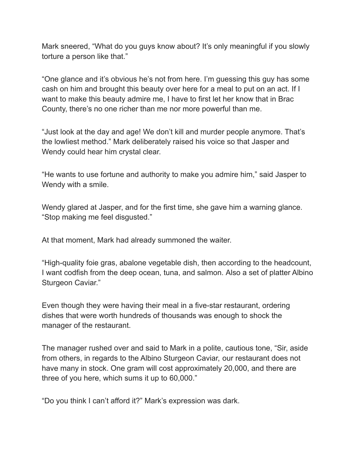Mark sneered, "What do you guys know about? It's only meaningful if you slowly torture a person like that."

"One glance and it's obvious he's not from here. I'm guessing this guy has some cash on him and brought this beauty over here for a meal to put on an act. If I want to make this beauty admire me, I have to first let her know that in Brac County, there's no one richer than me nor more powerful than me.

"Just look at the day and age! We don't kill and murder people anymore. That's the lowliest method." Mark deliberately raised his voice so that Jasper and Wendy could hear him crystal clear.

"He wants to use fortune and authority to make you admire him," said Jasper to Wendy with a smile.

Wendy glared at Jasper, and for the first time, she gave him a warning glance. "Stop making me feel disgusted."

At that moment, Mark had already summoned the waiter.

"High-quality foie gras, abalone vegetable dish, then according to the headcount, I want codfish from the deep ocean, tuna, and salmon. Also a set of platter Albino Sturgeon Caviar."

Even though they were having their meal in a five-star restaurant, ordering dishes that were worth hundreds of thousands was enough to shock the manager of the restaurant.

The manager rushed over and said to Mark in a polite, cautious tone, "Sir, aside from others, in regards to the Albino Sturgeon Caviar, our restaurant does not have many in stock. One gram will cost approximately 20,000, and there are three of you here, which sums it up to 60,000."

"Do you think I can't afford it?" Mark's expression was dark.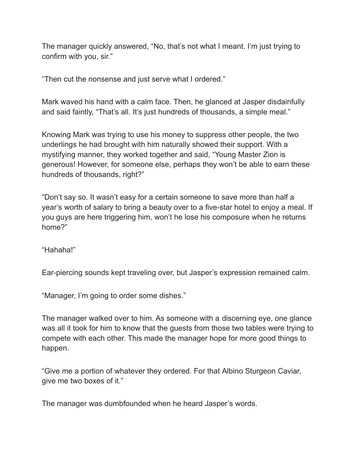The manager quickly answered, "No, that's not what I meant. I'm just trying to confirm with you, sir."

"Then cut the nonsense and just serve what I ordered."

Mark waved his hand with a calm face. Then, he glanced at Jasper disdainfully and said faintly, "That's all. It's just hundreds of thousands, a simple meal."

Knowing Mark was trying to use his money to suppress other people, the two underlings he had brought with him naturally showed their support. With a mystifying manner, they worked together and said, "Young Master Zion is generous! However, for someone else, perhaps they won't be able to earn these hundreds of thousands, right?"

"Don't say so. It wasn't easy for a certain someone to save more than half a year's worth of salary to bring a beauty over to a five-star hotel to enjoy a meal. If you guys are here triggering him, won't he lose his composure when he returns home?"

"Hahaha!"

Ear-piercing sounds kept traveling over, but Jasper's expression remained calm.

"Manager, I'm going to order some dishes."

The manager walked over to him. As someone with a discerning eye, one glance was all it took for him to know that the guests from those two tables were trying to compete with each other. This made the manager hope for more good things to happen.

"Give me a portion of whatever they ordered. For that Albino Sturgeon Caviar, give me two boxes of it."

The manager was dumbfounded when he heard Jasper's words.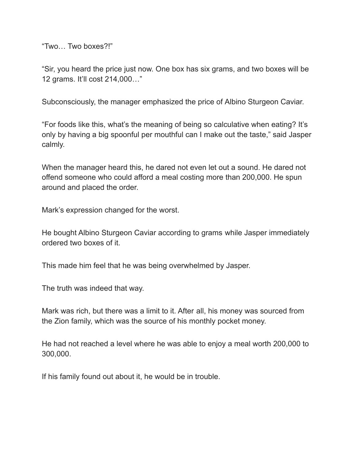"Two… Two boxes?!"

"Sir, you heard the price just now. One box has six grams, and two boxes will be 12 grams. It'll cost 214,000…"

Subconsciously, the manager emphasized the price of Albino Sturgeon Caviar.

"For foods like this, what's the meaning of being so calculative when eating? It's only by having a big spoonful per mouthful can I make out the taste," said Jasper calmly.

When the manager heard this, he dared not even let out a sound. He dared not offend someone who could afford a meal costing more than 200,000. He spun around and placed the order.

Mark's expression changed for the worst.

He bought Albino Sturgeon Caviar according to grams while Jasper immediately ordered two boxes of it.

This made him feel that he was being overwhelmed by Jasper.

The truth was indeed that way.

Mark was rich, but there was a limit to it. After all, his money was sourced from the Zion family, which was the source of his monthly pocket money.

He had not reached a level where he was able to enjoy a meal worth 200,000 to 300,000.

If his family found out about it, he would be in trouble.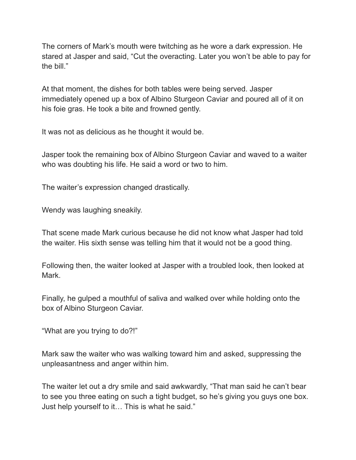The corners of Mark's mouth were twitching as he wore a dark expression. He stared at Jasper and said, "Cut the overacting. Later you won't be able to pay for the bill."

At that moment, the dishes for both tables were being served. Jasper immediately opened up a box of Albino Sturgeon Caviar and poured all of it on his foie gras. He took a bite and frowned gently.

It was not as delicious as he thought it would be.

Jasper took the remaining box of Albino Sturgeon Caviar and waved to a waiter who was doubting his life. He said a word or two to him.

The waiter's expression changed drastically.

Wendy was laughing sneakily.

That scene made Mark curious because he did not know what Jasper had told the waiter. His sixth sense was telling him that it would not be a good thing.

Following then, the waiter looked at Jasper with a troubled look, then looked at Mark.

Finally, he gulped a mouthful of saliva and walked over while holding onto the box of Albino Sturgeon Caviar.

"What are you trying to do?!"

Mark saw the waiter who was walking toward him and asked, suppressing the unpleasantness and anger within him.

The waiter let out a dry smile and said awkwardly, "That man said he can't bear to see you three eating on such a tight budget, so he's giving you guys one box. Just help yourself to it… This is what he said."